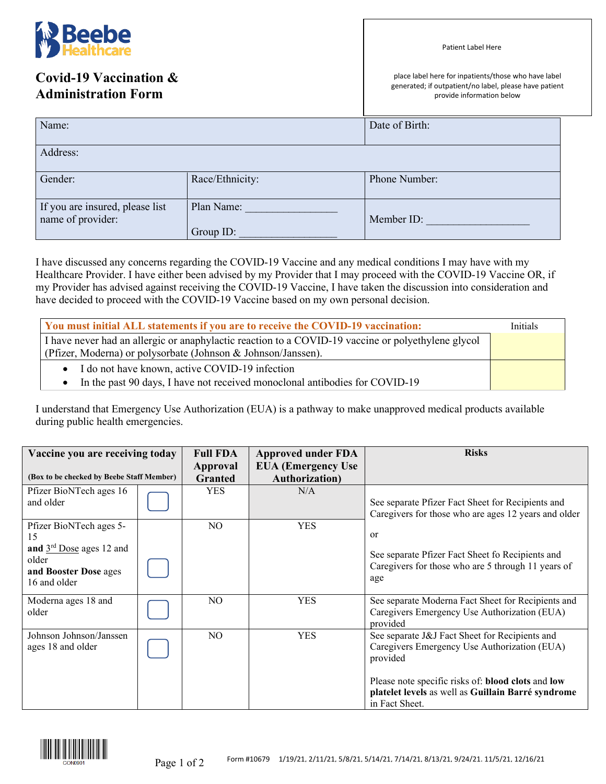

I have discussed any concerns regarding the COVID-19 Vaccine and any medical conditions I may have with my Healthcare Provider. I have either been advised by my Provider that I may proceed with the COVID-19 Vaccine OR, if my Provider has advised against receiving the COVID-19 Vaccine, I have taken the discussion into consideration and have decided to proceed with the COVID-19 Vaccine based on my own personal decision.

Group ID:

| You must initial ALL statements if you are to receive the COVID-19 vaccination:                                                                                     |  |  |  |  |
|---------------------------------------------------------------------------------------------------------------------------------------------------------------------|--|--|--|--|
| I have never had an allergic or anaphylactic reaction to a COVID-19 vaccine or polyethylene glycol<br>(Pfizer, Moderna) or polysorbate (Johnson & Johnson/Janssen). |  |  |  |  |
| • I do not have known, active COVID-19 infection<br>• In the past 90 days, I have not received monoclonal antibodies for COVID-19                                   |  |  |  |  |

I understand that Emergency Use Authorization (EUA) is a pathway to make unapproved medical products available during public health emergencies.

| Vaccine you are receiving today                                                                               |  | <b>Full FDA</b> | <b>Approved under FDA</b> | <b>Risks</b>                                                                                                                                                                                                                             |
|---------------------------------------------------------------------------------------------------------------|--|-----------------|---------------------------|------------------------------------------------------------------------------------------------------------------------------------------------------------------------------------------------------------------------------------------|
|                                                                                                               |  | Approval        | <b>EUA</b> (Emergency Use |                                                                                                                                                                                                                                          |
| (Box to be checked by Beebe Staff Member)                                                                     |  | <b>Granted</b>  | <b>Authorization</b> )    |                                                                                                                                                                                                                                          |
| Pfizer BioNTech ages 16<br>and older                                                                          |  | <b>YES</b>      | N/A                       | See separate Pfizer Fact Sheet for Recipients and<br>Caregivers for those who are ages 12 years and older                                                                                                                                |
| Pfizer BioNTech ages 5-<br>15<br>and $3rd$ Dose ages 12 and<br>older<br>and Booster Dose ages<br>16 and older |  | NO              | <b>YES</b>                | or<br>See separate Pfizer Fact Sheet fo Recipients and<br>Caregivers for those who are 5 through 11 years of<br>age                                                                                                                      |
| Moderna ages 18 and<br>older                                                                                  |  | NO.             | <b>YES</b>                | See separate Moderna Fact Sheet for Recipients and<br>Caregivers Emergency Use Authorization (EUA)<br>provided                                                                                                                           |
| Johnson Johnson/Janssen<br>ages 18 and older                                                                  |  | NO.             | <b>YES</b>                | See separate J&J Fact Sheet for Recipients and<br>Caregivers Emergency Use Authorization (EUA)<br>provided<br>Please note specific risks of: blood clots and low<br>platelet levels as well as Guillain Barré syndrome<br>in Fact Sheet. |